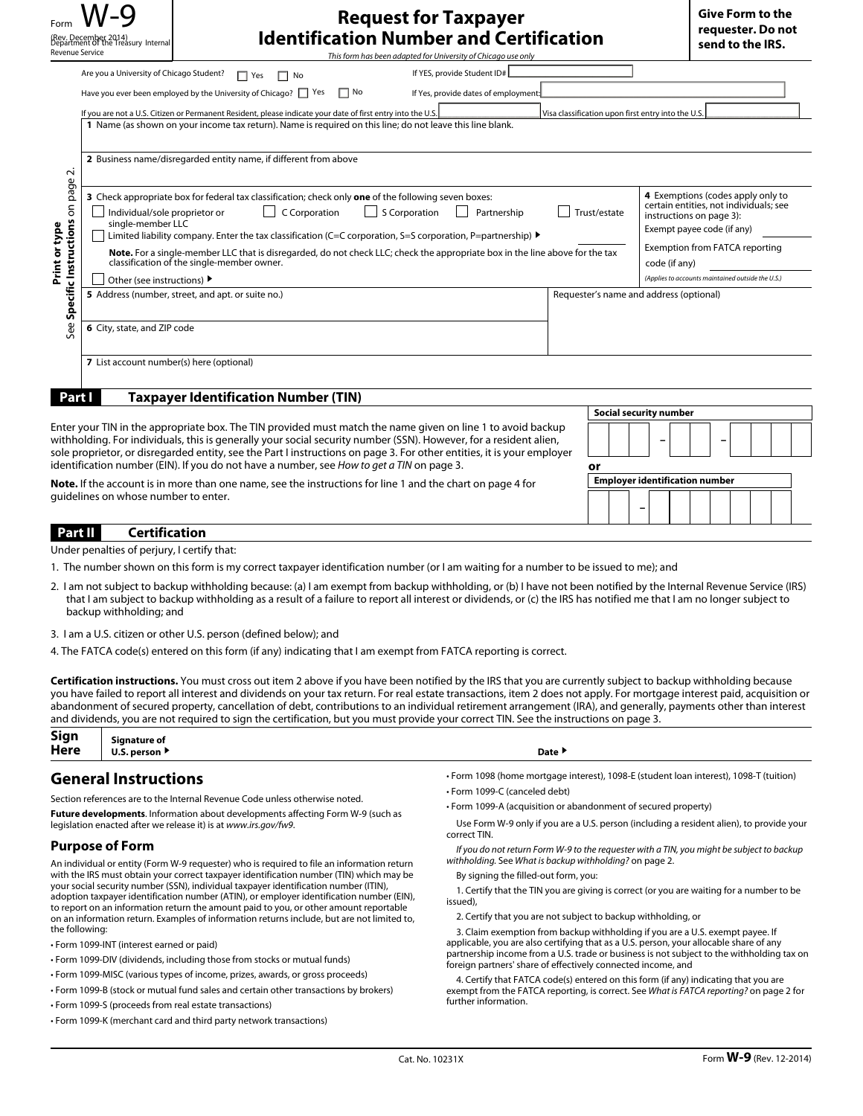| Revenue Service                                                                                                                                                                                       | (Rev. December 2014)<br>Department Of the Treasury Internal                                                                                                                                                                                                                                                                                                                                                                                                                                                                                                                                                                                                                                                | <b>Request for Taxpayer</b><br><b>Identification Number and Certification</b><br>This form has been adapted for University of Chicago use only |              | <b>Give Form to the</b><br>requester. Do not<br>send to the IRS.                                                                                                                                                                                                                                |  |
|-------------------------------------------------------------------------------------------------------------------------------------------------------------------------------------------------------|------------------------------------------------------------------------------------------------------------------------------------------------------------------------------------------------------------------------------------------------------------------------------------------------------------------------------------------------------------------------------------------------------------------------------------------------------------------------------------------------------------------------------------------------------------------------------------------------------------------------------------------------------------------------------------------------------------|------------------------------------------------------------------------------------------------------------------------------------------------|--------------|-------------------------------------------------------------------------------------------------------------------------------------------------------------------------------------------------------------------------------------------------------------------------------------------------|--|
|                                                                                                                                                                                                       | If YES, provide Student ID#<br>Are you a University of Chicago Student?<br>$\Box$ Yes<br>$\Box$ No<br>Have you ever been employed by the University of Chicago?   Yes<br>$\Box$ No<br>If Yes, provide dates of employment<br>If you are not a U.S. Citizen or Permanent Resident, please indicate your date of first entry into the U.S.<br>Visa classification upon first entry into the U.S<br>1 Name (as shown on your income tax return). Name is required on this line; do not leave this line blank.                                                                                                                                                                                                 |                                                                                                                                                |              |                                                                                                                                                                                                                                                                                                 |  |
| $\mathbf{\dot{v}}$<br>page<br>See Specific Instructions on<br>Print or type                                                                                                                           | 2 Business name/disregarded entity name, if different from above<br>3 Check appropriate box for federal tax classification; check only one of the following seven boxes:<br>C Corporation<br>$\mathsf{L}$<br><b>S</b> Corporation<br>Individual/sole proprietor or<br>Partnership<br>single-member LLC<br>Limited liability company. Enter the tax classification (C=C corporation, S=S corporation, P=partnership) $\blacktriangleright$<br>Note. For a single-member LLC that is disregarded, do not check LLC; check the appropriate box in the line above for the tax<br>classification of the single-member owner.<br>Other (see instructions) ▶<br>5 Address (number, street, and apt. or suite no.) |                                                                                                                                                | Trust/estate | 4 Exemptions (codes apply only to<br>certain entities, not individuals; see<br>instructions on page 3):<br>Exempt payee code (if any)<br><b>Exemption from FATCA reporting</b><br>code (if any)<br>(Applies to accounts maintained outside the U.S.)<br>Requester's name and address (optional) |  |
|                                                                                                                                                                                                       | 6 City, state, and ZIP code<br>7 List account number(s) here (optional)                                                                                                                                                                                                                                                                                                                                                                                                                                                                                                                                                                                                                                    |                                                                                                                                                |              |                                                                                                                                                                                                                                                                                                 |  |
| <b>Taxpayer Identification Number (TIN)</b><br>Part I<br><b>Social security number</b><br>Enter your TIN in the appropriate box. The TIN provided must match the name given on line 1 to avoid backup |                                                                                                                                                                                                                                                                                                                                                                                                                                                                                                                                                                                                                                                                                                            |                                                                                                                                                |              |                                                                                                                                                                                                                                                                                                 |  |
|                                                                                                                                                                                                       | withholding. For individuals, this is generally your social security number (SSN). However, for a resident alien,<br>sole proprietor, or disregarded entity, see the Part I instructions on page 3. For other entities, it is your employer<br>identification number (EIN). If you do not have a number, see How to get a TIN on page 3.<br>or<br><b>Employer identification number</b><br><b>Note.</b> If the account is in more than one name, see the instructions for line 1 and the chart on page 4 for<br>quidelines on whose number to enter.<br>Part II<br><b>Certification</b>                                                                                                                    |                                                                                                                                                |              |                                                                                                                                                                                                                                                                                                 |  |

Under penalties of perjury, I certify that:

- 1. The number shown on this form is my correct taxpayer identification number (or I am waiting for a number to be issued to me); and
- 2. I am not subject to backup withholding because: (a) I am exempt from backup withholding, or (b) I have not been notified by the Internal Revenue Service (IRS) that I am subject to backup withholding as a result of a failure to report all interest or dividends, or (c) the IRS has notified me that I am no longer subject to backup withholding; and

3. I am a U.S. citizen or other U.S. person (defined below); and

4. The FATCA code(s) entered on this form (if any) indicating that I am exempt from FATCA reporting is correct.

**Certification instructions.** You must cross out item 2 above if you have been notified by the IRS that you are currently subject to backup withholding because you have failed to report all interest and dividends on your tax return. For real estate transactions, item 2 does not apply. For mortgage interest paid, acquisition or abandonment of secured property, cancellation of debt, contributions to an individual retirement arrangement (IRA), and generally, payments other than interest and dividends, you are not required to sign the certification, but you must provide your correct TIN. See the instructions on page 3.

| Sign<br>Here | $\overline{\phantom{a}}$<br>Sianature of<br>-<br>.<br>person<br>ັ | Date |  |
|--------------|-------------------------------------------------------------------|------|--|
|              |                                                                   |      |  |

# **General Instructions**

Section references are to the Internal Revenue Code unless otherwise noted.

**Future developments**. Information about developments affecting Form W-9 (such as legislation enacted after we release it) is at *www.irs.gov/fw9*.

## **Purpose of Form**

An individual or entity (Form W-9 requester) who is required to file an information return with the IRS must obtain your correct taxpayer identification number (TIN) which may be your social security number (SSN), individual taxpayer identification number (ITIN), adoption taxpayer identification number (ATIN), or employer identification number (EIN), to report on an information return the amount paid to you, or other amount reportable on an information return. Examples of information returns include, but are not limited to, the following:

- Form 1099-INT (interest earned or paid)
- Form 1099-DIV (dividends, including those from stocks or mutual funds)
- Form 1099-MISC (various types of income, prizes, awards, or gross proceeds)
- Form 1099-B (stock or mutual fund sales and certain other transactions by brokers)
- Form 1099-S (proceeds from real estate transactions)
- Form 1099-K (merchant card and third party network transactions)
- Form 1098 (home mortgage interest), 1098-E (student loan interest), 1098-T (tuition) • Form 1099-C (canceled debt)
- Form 1099-A (acquisition or abandonment of secured property)

Use Form W-9 only if you are a U.S. person (including a resident alien), to provide your correct TIN.

*If you do not return Form W-9 to the requester with a TIN, you might be subject to backup withholding.* See *What is backup withholding?* on page 2.

By signing the filled-out form, you:

1. Certify that the TIN you are giving is correct (or you are waiting for a number to be issued),

2. Certify that you are not subject to backup withholding, or

3. Claim exemption from backup withholding if you are a U.S. exempt payee. If applicable, you are also certifying that as a U.S. person, your allocable share of any partnership income from a U.S. trade or business is not subject to the withholding tax on foreign partners' share of effectively connected income, and

4. Certify that FATCA code(s) entered on this form (if any) indicating that you are exempt from the FATCA reporting, is correct. See *What is FATCA reporting?* on page 2 for further information.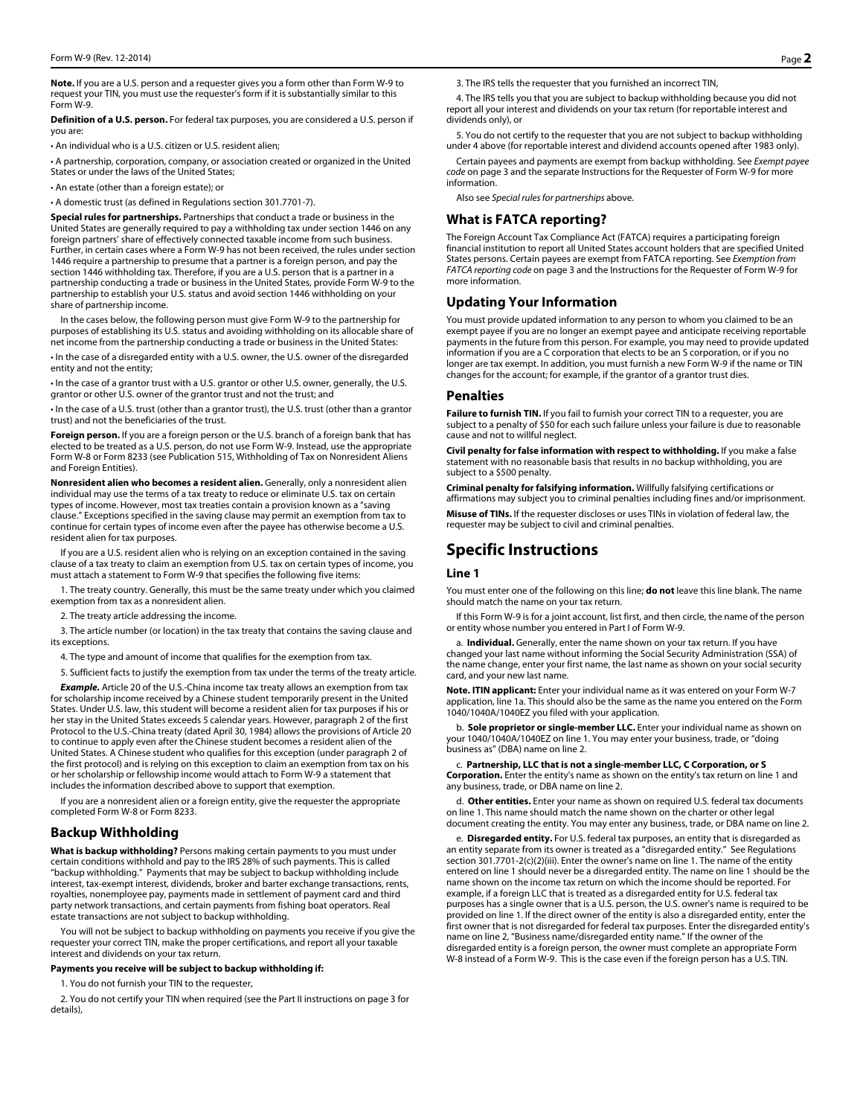**Note.** If you are a U.S. person and a requester gives you a form other than Form W-9 to request your TIN, you must use the requester's form if it is substantially similar to this Form W-9.

**Definition of a U.S. person.** For federal tax purposes, you are considered a U.S. person if you are:

• An individual who is a U.S. citizen or U.S. resident alien;

• A partnership, corporation, company, or association created or organized in the United States or under the laws of the United States;

• An estate (other than a foreign estate); or

• A domestic trust (as defined in Regulations section 301.7701-7).

**Special rules for partnerships.** Partnerships that conduct a trade or business in the United States are generally required to pay a withholding tax under section 1446 on any foreign partners' share of effectively connected taxable income from such business. Further, in certain cases where a Form W-9 has not been received, the rules under section 1446 require a partnership to presume that a partner is a foreign person, and pay the section 1446 withholding tax. Therefore, if you are a U.S. person that is a partner in a partnership conducting a trade or business in the United States, provide Form W-9 to the partnership to establish your U.S. status and avoid section 1446 withholding on your share of partnership income.

In the cases below, the following person must give Form W-9 to the partnership for purposes of establishing its U.S. status and avoiding withholding on its allocable share of net income from the partnership conducting a trade or business in the United States:

• In the case of a disregarded entity with a U.S. owner, the U.S. owner of the disregarded entity and not the entity;

• In the case of a grantor trust with a U.S. grantor or other U.S. owner, generally, the U.S. grantor or other U.S. owner of the grantor trust and not the trust; and

• In the case of a U.S. trust (other than a grantor trust), the U.S. trust (other than a grantor trust) and not the beneficiaries of the trust.

**Foreign person.** If you are a foreign person or the U.S. branch of a foreign bank that has elected to be treated as a U.S. person, do not use Form W-9. Instead, use the appropriate Form W-8 or Form 8233 (see Publication 515, Withholding of Tax on Nonresident Aliens and Foreign Entities).

**Nonresident alien who becomes a resident alien.** Generally, only a nonresident alien individual may use the terms of a tax treaty to reduce or eliminate U.S. tax on certain types of income. However, most tax treaties contain a provision known as a "saving clause." Exceptions specified in the saving clause may permit an exemption from tax to continue for certain types of income even after the payee has otherwise become a U.S. resident alien for tax purposes.

If you are a U.S. resident alien who is relying on an exception contained in the saving clause of a tax treaty to claim an exemption from U.S. tax on certain types of income, you must attach a statement to Form W-9 that specifies the following five items:

1. The treaty country. Generally, this must be the same treaty under which you claimed exemption from tax as a nonresident alien.

2. The treaty article addressing the income.

3. The article number (or location) in the tax treaty that contains the saving clause and its exceptions.

4. The type and amount of income that qualifies for the exemption from tax.

5. Sufficient facts to justify the exemption from tax under the terms of the treaty article.

*Example.* Article 20 of the U.S.-China income tax treaty allows an exemption from tax for scholarship income received by a Chinese student temporarily present in the United States. Under U.S. law, this student will become a resident alien for tax purposes if his or her stay in the United States exceeds 5 calendar years. However, paragraph 2 of the first Protocol to the U.S.-China treaty (dated April 30, 1984) allows the provisions of Article 20 to continue to apply even after the Chinese student becomes a resident alien of the United States. A Chinese student who qualifies for this exception (under paragraph 2 of the first protocol) and is relying on this exception to claim an exemption from tax on his or her scholarship or fellowship income would attach to Form W-9 a statement that includes the information described above to support that exemption.

If you are a nonresident alien or a foreign entity, give the requester the appropriate completed Form W-8 or Form 8233.

## **Backup Withholding**

**What is backup withholding?** Persons making certain payments to you must under certain conditions withhold and pay to the IRS 28% of such payments. This is called "backup withholding." Payments that may be subject to backup withholding include interest, tax-exempt interest, dividends, broker and barter exchange transactions, rents, royalties, nonemployee pay, payments made in settlement of payment card and third party network transactions, and certain payments from fishing boat operators. Real estate transactions are not subject to backup withholding.

You will not be subject to backup withholding on payments you receive if you give the requester your correct TIN, make the proper certifications, and report all your taxable interest and dividends on your tax return.

#### **Payments you receive will be subject to backup withholding if:**

1. You do not furnish your TIN to the requester,

2. You do not certify your TIN when required (see the Part II instructions on page 3 for details),

3. The IRS tells the requester that you furnished an incorrect TIN,

4. The IRS tells you that you are subject to backup withholding because you did not report all your interest and dividends on your tax return (for reportable interest and dividends only), or

5. You do not certify to the requester that you are not subject to backup withholding under 4 above (for reportable interest and dividend accounts opened after 1983 only).

Certain payees and payments are exempt from backup withholding. See *Exempt payee code* on page 3 and the separate Instructions for the Requester of Form W-9 for more information.

Also see *Special rules for partnerships* above.

## **What is FATCA reporting?**

The Foreign Account Tax Compliance Act (FATCA) requires a participating foreign financial institution to report all United States account holders that are specified United States persons. Certain payees are exempt from FATCA reporting. See *Exemption from FATCA reporting code* on page 3 and the Instructions for the Requester of Form W-9 for more information.

## **Updating Your Information**

You must provide updated information to any person to whom you claimed to be an exempt payee if you are no longer an exempt payee and anticipate receiving reportable payments in the future from this person. For example, you may need to provide updated information if you are a C corporation that elects to be an S corporation, or if you no longer are tax exempt. In addition, you must furnish a new Form W-9 if the name or TIN changes for the account; for example, if the grantor of a grantor trust dies.

#### **Penalties**

**Failure to furnish TIN.** If you fail to furnish your correct TIN to a requester, you are subject to a penalty of \$50 for each such failure unless your failure is due to reasonable cause and not to willful neglect.

**Civil penalty for false information with respect to withholding.** If you make a false statement with no reasonable basis that results in no backup withholding, you are subject to a \$500 penalty.

**Criminal penalty for falsifying information.** Willfully falsifying certifications or affirmations may subject you to criminal penalties including fines and/or imprisonment. **Misuse of TINs.** If the requester discloses or uses TINs in violation of federal law, the requester may be subject to civil and criminal penalties.

## **Specific Instructions**

## **Line 1**

You must enter one of the following on this line; **do not** leave this line blank. The name should match the name on your tax return.

If this Form W-9 is for a joint account, list first, and then circle, the name of the person or entity whose number you entered in Part I of Form W-9.

a. **Individual.** Generally, enter the name shown on your tax return. If you have changed your last name without informing the Social Security Administration (SSA) of the name change, enter your first name, the last name as shown on your social security card, and your new last name.

**Note. ITIN applicant:** Enter your individual name as it was entered on your Form W-7 application, line 1a. This should also be the same as the name you entered on the Form 1040/1040A/1040EZ you filed with your application.

b. **Sole proprietor or single-member LLC.** Enter your individual name as shown on your 1040/1040A/1040EZ on line 1. You may enter your business, trade, or "doing business as" (DBA) name on line 2.

c. **Partnership, LLC that is not a single-member LLC, C Corporation, or S Corporation.** Enter the entity's name as shown on the entity's tax return on line 1 and any business, trade, or DBA name on line 2.

d. **Other entities.** Enter your name as shown on required U.S. federal tax documents on line 1. This name should match the name shown on the charter or other legal document creating the entity. You may enter any business, trade, or DBA name on line 2.

e. **Disregarded entity.** For U.S. federal tax purposes, an entity that is disregarded as an entity separate from its owner is treated as a "disregarded entity." See Regulations section 301.7701-2(c)(2)(iii). Enter the owner's name on line 1. The name of the entity entered on line 1 should never be a disregarded entity. The name on line 1 should be the name shown on the income tax return on which the income should be reported. For example, if a foreign LLC that is treated as a disregarded entity for U.S. federal tax purposes has a single owner that is a U.S. person, the U.S. owner's name is required to be provided on line 1. If the direct owner of the entity is also a disregarded entity, enter the first owner that is not disregarded for federal tax purposes. Enter the disregarded entity's name on line 2, "Business name/disregarded entity name." If the owner of the disregarded entity is a foreign person, the owner must complete an appropriate Form W-8 instead of a Form W-9. This is the case even if the foreign person has a U.S. TIN.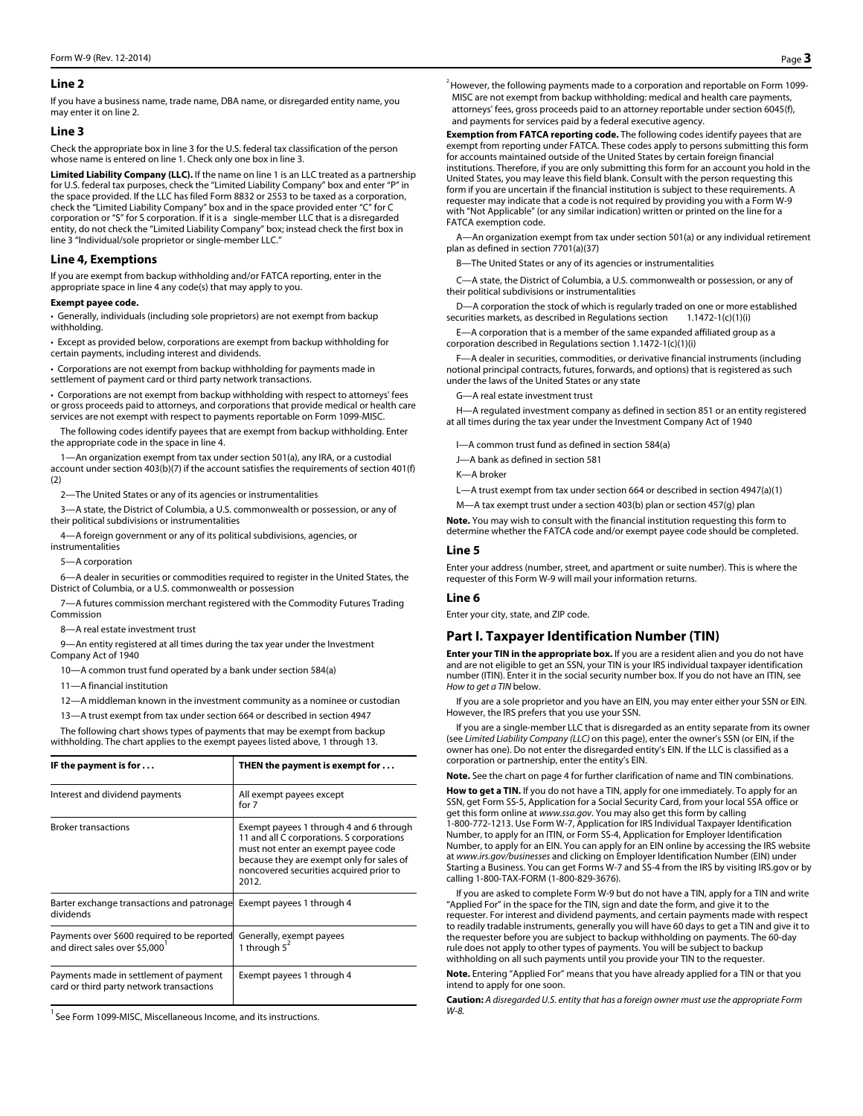### **Line 2**

If you have a business name, trade name, DBA name, or disregarded entity name, you may enter it on line 2.

#### **Line 3**

Check the appropriate box in line 3 for the U.S. federal tax classification of the person whose name is entered on line 1. Check only one box in line 3.

**Limited Liability Company (LLC).** If the name on line 1 is an LLC treated as a partnership for U.S. federal tax purposes, check the "Limited Liability Company" box and enter "P" in the space provided. If the LLC has filed Form 8832 or 2553 to be taxed as a corporation, check the "Limited Liability Company" box and in the space provided enter "C" for C corporation or "S" for S corporation. If it is a single-member LLC that is a disregarded entity, do not check the "Limited Liability Company" box; instead check the first box in line 3 "Individual/sole proprietor or single-member LLC."

## **Line 4, Exemptions**

If you are exempt from backup withholding and/or FATCA reporting, enter in the appropriate space in line 4 any code(s) that may apply to you.

#### **Exempt payee code.**

• Generally, individuals (including sole proprietors) are not exempt from backup withholding.

• Except as provided below, corporations are exempt from backup withholding for certain payments, including interest and dividends.

• Corporations are not exempt from backup withholding for payments made in settlement of payment card or third party network transactions.

• Corporations are not exempt from backup withholding with respect to attorneys' fees or gross proceeds paid to attorneys, and corporations that provide medical or health care services are not exempt with respect to payments reportable on Form 1099-MISC.

The following codes identify payees that are exempt from backup withholding. Enter the appropriate code in the space in line 4.

1—An organization exempt from tax under section 501(a), any IRA, or a custodial account under section 403(b)(7) if the account satisfies the requirements of section 401(f) (2)

2—The United States or any of its agencies or instrumentalities

3—A state, the District of Columbia, a U.S. commonwealth or possession, or any of their political subdivisions or instrumentalities

4—A foreign government or any of its political subdivisions, agencies, or instrumentalities

5—A corporation

6—A dealer in securities or commodities required to register in the United States, the District of Columbia, or a U.S. commonwealth or possession

7—A futures commission merchant registered with the Commodity Futures Trading Commission

8—A real estate investment trust

9—An entity registered at all times during the tax year under the Investment Company Act of 1940

10—A common trust fund operated by a bank under section 584(a)

11—A financial institution

12—A middleman known in the investment community as a nominee or custodian

13—A trust exempt from tax under section 664 or described in section 4947

The following chart shows types of payments that may be exempt from backup withholding. The chart applies to the exempt payees listed above, 1 through 13.

| IF the payment is for $\dots$                                                             | THEN the payment is exempt for $\dots$                                                                                                                                                                                       |
|-------------------------------------------------------------------------------------------|------------------------------------------------------------------------------------------------------------------------------------------------------------------------------------------------------------------------------|
| Interest and dividend payments                                                            | All exempt payees except<br>for 7                                                                                                                                                                                            |
| <b>Broker transactions</b>                                                                | Exempt payees 1 through 4 and 6 through<br>11 and all C corporations. S corporations<br>must not enter an exempt payee code<br>because they are exempt only for sales of<br>noncovered securities acquired prior to<br>2012. |
| Barter exchange transactions and patronage Exempt payees 1 through 4<br>dividends         |                                                                                                                                                                                                                              |
| Payments over \$600 required to be reported<br>and direct sales over \$5,000 <sup>1</sup> | Generally, exempt payees<br>1 through $5^2$                                                                                                                                                                                  |
| Payments made in settlement of payment<br>card or third party network transactions        | Exempt payees 1 through 4                                                                                                                                                                                                    |

 $^{1}$  See Form 1099-MISC, Miscellaneous Income, and its instructions.

 $2$  However, the following payments made to a corporation and reportable on Form 1099-MISC are not exempt from backup withholding: medical and health care payments, attorneys' fees, gross proceeds paid to an attorney reportable under section 6045(f), and payments for services paid by a federal executive agency.

**Exemption from FATCA reporting code.** The following codes identify payees that are exempt from reporting under FATCA. These codes apply to persons submitting this form for accounts maintained outside of the United States by certain foreign financial institutions. Therefore, if you are only submitting this form for an account you hold in the United States, you may leave this field blank. Consult with the person requesting this form if you are uncertain if the financial institution is subject to these requirements. A requester may indicate that a code is not required by providing you with a Form W-9 with "Not Applicable" (or any similar indication) written or printed on the line for a FATCA exemption code.

A—An organization exempt from tax under section 501(a) or any individual retirement plan as defined in section 7701(a)(37)

-The United States or any of its agencies or instrumentalities

C—A state, the District of Columbia, a U.S. commonwealth or possession, or any of their political subdivisions or instrumentalities

D—A corporation the stock of which is regularly traded on one or more established securities markets, as described in Regulations section 1.1472-1(c)(1)(i)

E—A corporation that is a member of the same expanded affiliated group as a corporation described in Regulations section 1.1472-1(c)(1)(i)

F—A dealer in securities, commodities, or derivative financial instruments (including notional principal contracts, futures, forwards, and options) that is registered as such under the laws of the United States or any state

G—A real estate investment trust

H—A regulated investment company as defined in section 851 or an entity registered at all times during the tax year under the Investment Company Act of 1940

I—A common trust fund as defined in section 584(a)

J—A bank as defined in section 581

K—A broker

L—A trust exempt from tax under section 664 or described in section 4947(a)(1)

M—A tax exempt trust under a section 403(b) plan or section 457(g) plan

**Note.** You may wish to consult with the financial institution requesting this form to determine whether the FATCA code and/or exempt payee code should be completed.

#### **Line 5**

Enter your address (number, street, and apartment or suite number). This is where the requester of this Form W-9 will mail your information returns.

#### **Line 6**

Enter your city, state, and ZIP code.

## **Part I. Taxpayer Identification Number (TIN)**

**Enter your TIN in the appropriate box.** If you are a resident alien and you do not have and are not eligible to get an SSN, your TIN is your IRS individual taxpayer identification number (ITIN). Enter it in the social security number box. If you do not have an ITIN, see *How to get a TIN* below.

If you are a sole proprietor and you have an EIN, you may enter either your SSN or EIN. However, the IRS prefers that you use your SSN.

If you are a single-member LLC that is disregarded as an entity separate from its owner (see *Limited Liability Company (LLC)* on this page), enter the owner's SSN (or EIN, if the owner has one). Do not enter the disregarded entity's EIN. If the LLC is classified as a corporation or partnership, enter the entity's EIN.

**Note.** See the chart on page 4 for further clarification of name and TIN combinations.

**How to get a TIN.** If you do not have a TIN, apply for one immediately. To apply for an SSN, get Form SS-5, Application for a Social Security Card, from your local SSA office or get this form online at *www.ssa.gov*. You may also get this form by calling 1-800-772-1213. Use Form W-7, Application for IRS Individual Taxpayer Identification Number, to apply for an ITIN, or Form SS-4, Application for Employer Identification Number, to apply for an EIN. You can apply for an EIN online by accessing the IRS website at *www.irs.gov/businesses* and clicking on Employer Identification Number (EIN) under Starting a Business. You can get Forms W-7 and SS-4 from the IRS by visiting IRS.gov or by calling 1-800-TAX-FORM (1-800-829-3676).

If you are asked to complete Form W-9 but do not have a TIN, apply for a TIN and write "Applied For" in the space for the TIN, sign and date the form, and give it to the requester. For interest and dividend payments, and certain payments made with respect to readily tradable instruments, generally you will have 60 days to get a TIN and give it to the requester before you are subject to backup withholding on payments. The 60-day rule does not apply to other types of payments. You will be subject to backup withholding on all such payments until you provide your TIN to the requester.

**Note.** Entering "Applied For" means that you have already applied for a TIN or that you intend to apply for one soon.

**Caution:** *A disregarded U.S. entity that has a foreign owner must use the appropriate Form W-8.*